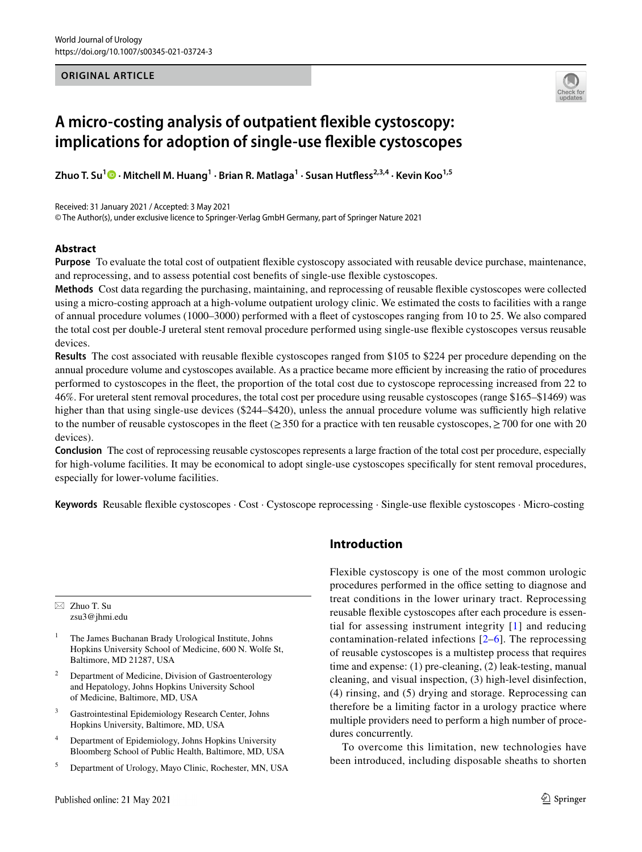#### **ORIGINAL ARTICLE**



# **A micro‑costing analysis of outpatient fexible cystoscopy: implications for adoption of single‑use fexible cystoscopes**

**Zhuo T. Su<sup>1</sup>  [·](http://orcid.org/0000-0003-3215-6192) Mitchell M. Huang1 · Brian R. Matlaga1 · Susan Hutfess2,3,4 · Kevin Koo1,5**

Received: 31 January 2021 / Accepted: 3 May 2021

© The Author(s), under exclusive licence to Springer-Verlag GmbH Germany, part of Springer Nature 2021

#### **Abstract**

**Purpose** To evaluate the total cost of outpatient fexible cystoscopy associated with reusable device purchase, maintenance, and reprocessing, and to assess potential cost benefts of single-use fexible cystoscopes.

**Methods** Cost data regarding the purchasing, maintaining, and reprocessing of reusable fexible cystoscopes were collected using a micro-costing approach at a high-volume outpatient urology clinic. We estimated the costs to facilities with a range of annual procedure volumes (1000–3000) performed with a feet of cystoscopes ranging from 10 to 25. We also compared the total cost per double-J ureteral stent removal procedure performed using single-use fexible cystoscopes versus reusable devices.

**Results** The cost associated with reusable fexible cystoscopes ranged from \$105 to \$224 per procedure depending on the annual procedure volume and cystoscopes available. As a practice became more efficient by increasing the ratio of procedures performed to cystoscopes in the feet, the proportion of the total cost due to cystoscope reprocessing increased from 22 to 46%. For ureteral stent removal procedures, the total cost per procedure using reusable cystoscopes (range \$165–\$1469) was higher than that using single-use devices (\$244–\$420), unless the annual procedure volume was sufficiently high relative to the number of reusable cystoscopes in the fleet ( $\geq$  350 for a practice with ten reusable cystoscopes,  $\geq$  700 for one with 20 devices).

**Conclusion** The cost of reprocessing reusable cystoscopes represents a large fraction of the total cost per procedure, especially for high-volume facilities. It may be economical to adopt single-use cystoscopes specifcally for stent removal procedures, especially for lower-volume facilities.

**Keywords** Reusable fexible cystoscopes · Cost · Cystoscope reprocessing · Single-use fexible cystoscopes · Micro-costing

 $\boxtimes$  Zhuo T. Su zsu3@jhmi.edu

- <sup>1</sup> The James Buchanan Brady Urological Institute, Johns Hopkins University School of Medicine, 600 N. Wolfe St, Baltimore, MD 21287, USA
- Department of Medicine, Division of Gastroenterology and Hepatology, Johns Hopkins University School of Medicine, Baltimore, MD, USA
- <sup>3</sup> Gastrointestinal Epidemiology Research Center, Johns Hopkins University, Baltimore, MD, USA
- <sup>4</sup> Department of Epidemiology, Johns Hopkins University Bloomberg School of Public Health, Baltimore, MD, USA
- <sup>5</sup> Department of Urology, Mayo Clinic, Rochester, MN, USA

## **Introduction**

Flexible cystoscopy is one of the most common urologic procedures performed in the office setting to diagnose and treat conditions in the lower urinary tract. Reprocessing reusable fexible cystoscopes after each procedure is essential for assessing instrument integrity [[1](#page-5-0)] and reducing contamination-related infections [[2](#page-5-1)[–6](#page-5-2)]. The reprocessing of reusable cystoscopes is a multistep process that requires time and expense: (1) pre-cleaning, (2) leak-testing, manual cleaning, and visual inspection, (3) high-level disinfection, (4) rinsing, and (5) drying and storage. Reprocessing can therefore be a limiting factor in a urology practice where multiple providers need to perform a high number of procedures concurrently.

To overcome this limitation, new technologies have been introduced, including disposable sheaths to shorten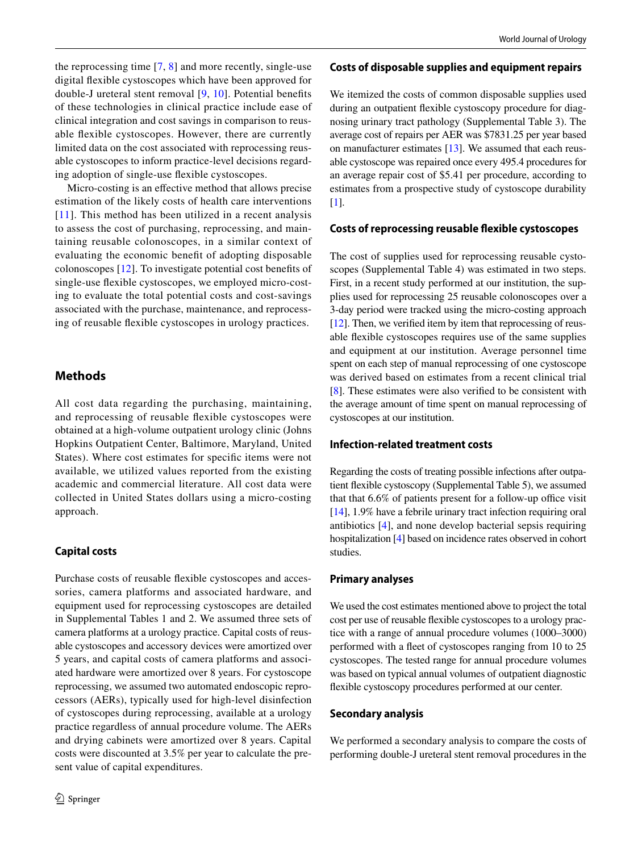the reprocessing time  $[7, 8]$  $[7, 8]$  $[7, 8]$  $[7, 8]$  and more recently, single-use digital fexible cystoscopes which have been approved for double-J ureteral stent removal [[9](#page-5-5), [10\]](#page-5-6). Potential benefts of these technologies in clinical practice include ease of clinical integration and cost savings in comparison to reusable fexible cystoscopes. However, there are currently limited data on the cost associated with reprocessing reusable cystoscopes to inform practice-level decisions regarding adoption of single-use fexible cystoscopes.

Micro-costing is an efective method that allows precise estimation of the likely costs of health care interventions [[11](#page-5-7)]. This method has been utilized in a recent analysis to assess the cost of purchasing, reprocessing, and maintaining reusable colonoscopes, in a similar context of evaluating the economic beneft of adopting disposable colonoscopes [[12](#page-5-8)]. To investigate potential cost benefts of single-use fexible cystoscopes, we employed micro-costing to evaluate the total potential costs and cost-savings associated with the purchase, maintenance, and reprocessing of reusable fexible cystoscopes in urology practices.

## **Methods**

All cost data regarding the purchasing, maintaining, and reprocessing of reusable fexible cystoscopes were obtained at a high-volume outpatient urology clinic (Johns Hopkins Outpatient Center, Baltimore, Maryland, United States). Where cost estimates for specifc items were not available, we utilized values reported from the existing academic and commercial literature. All cost data were collected in United States dollars using a micro-costing approach.

## **Capital costs**

Purchase costs of reusable fexible cystoscopes and accessories, camera platforms and associated hardware, and equipment used for reprocessing cystoscopes are detailed in Supplemental Tables 1 and 2. We assumed three sets of camera platforms at a urology practice. Capital costs of reusable cystoscopes and accessory devices were amortized over 5 years, and capital costs of camera platforms and associated hardware were amortized over 8 years. For cystoscope reprocessing, we assumed two automated endoscopic reprocessors (AERs), typically used for high-level disinfection of cystoscopes during reprocessing, available at a urology practice regardless of annual procedure volume. The AERs and drying cabinets were amortized over 8 years. Capital costs were discounted at 3.5% per year to calculate the present value of capital expenditures.

#### **Costs of disposable supplies and equipment repairs**

We itemized the costs of common disposable supplies used during an outpatient fexible cystoscopy procedure for diagnosing urinary tract pathology (Supplemental Table 3). The average cost of repairs per AER was \$7831.25 per year based on manufacturer estimates [\[13\]](#page-5-9). We assumed that each reusable cystoscope was repaired once every 495.4 procedures for an average repair cost of \$5.41 per procedure, according to estimates from a prospective study of cystoscope durability [\[1](#page-5-0)].

#### **Costs of reprocessing reusable fexible cystoscopes**

The cost of supplies used for reprocessing reusable cystoscopes (Supplemental Table 4) was estimated in two steps. First, in a recent study performed at our institution, the supplies used for reprocessing 25 reusable colonoscopes over a 3-day period were tracked using the micro-costing approach [\[12](#page-5-8)]. Then, we verified item by item that reprocessing of reusable fexible cystoscopes requires use of the same supplies and equipment at our institution. Average personnel time spent on each step of manual reprocessing of one cystoscope was derived based on estimates from a recent clinical trial [\[8](#page-5-4)]. These estimates were also verifed to be consistent with the average amount of time spent on manual reprocessing of cystoscopes at our institution.

#### **Infection‑related treatment costs**

Regarding the costs of treating possible infections after outpatient fexible cystoscopy (Supplemental Table 5), we assumed that that  $6.6\%$  of patients present for a follow-up office visit [\[14](#page-5-10)], 1.9% have a febrile urinary tract infection requiring oral antibiotics [\[4](#page-5-11)], and none develop bacterial sepsis requiring hospitalization [\[4\]](#page-5-11) based on incidence rates observed in cohort studies.

#### **Primary analyses**

We used the cost estimates mentioned above to project the total cost per use of reusable fexible cystoscopes to a urology practice with a range of annual procedure volumes (1000–3000) performed with a feet of cystoscopes ranging from 10 to 25 cystoscopes. The tested range for annual procedure volumes was based on typical annual volumes of outpatient diagnostic fexible cystoscopy procedures performed at our center.

#### **Secondary analysis**

We performed a secondary analysis to compare the costs of performing double-J ureteral stent removal procedures in the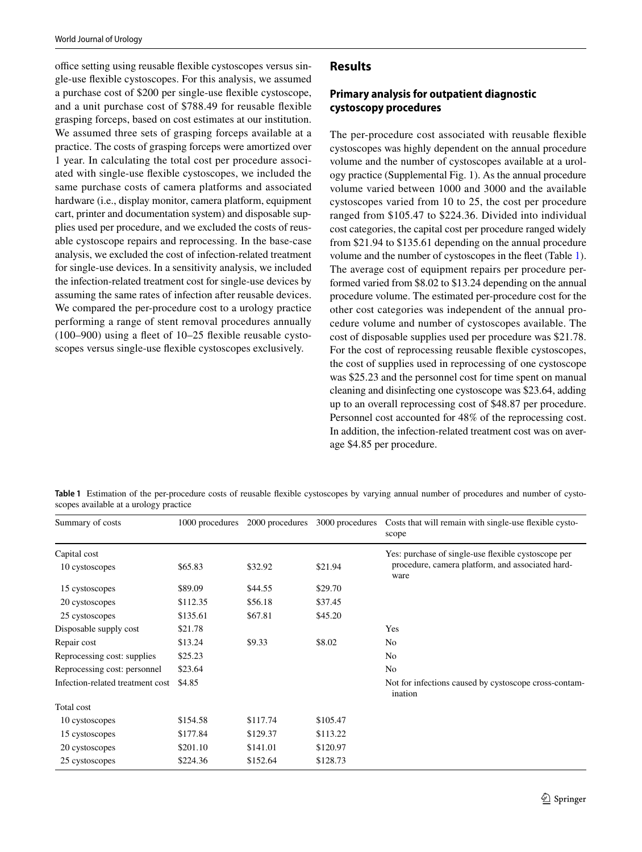office setting using reusable flexible cystoscopes versus single-use fexible cystoscopes. For this analysis, we assumed a purchase cost of \$200 per single-use fexible cystoscope, and a unit purchase cost of \$788.49 for reusable fexible grasping forceps, based on cost estimates at our institution. We assumed three sets of grasping forceps available at a practice. The costs of grasping forceps were amortized over 1 year. In calculating the total cost per procedure associated with single-use fexible cystoscopes, we included the same purchase costs of camera platforms and associated hardware (i.e., display monitor, camera platform, equipment cart, printer and documentation system) and disposable supplies used per procedure, and we excluded the costs of reusable cystoscope repairs and reprocessing. In the base-case analysis, we excluded the cost of infection-related treatment for single-use devices. In a sensitivity analysis, we included the infection-related treatment cost for single-use devices by assuming the same rates of infection after reusable devices. We compared the per-procedure cost to a urology practice performing a range of stent removal procedures annually (100–900) using a feet of 10–25 fexible reusable cystoscopes versus single-use fexible cystoscopes exclusively.

## **Results**

# **Primary analysis for outpatient diagnostic cystoscopy procedures**

The per-procedure cost associated with reusable fexible cystoscopes was highly dependent on the annual procedure volume and the number of cystoscopes available at a urology practice (Supplemental Fig. 1). As the annual procedure volume varied between 1000 and 3000 and the available cystoscopes varied from 10 to 25, the cost per procedure ranged from \$105.47 to \$224.36. Divided into individual cost categories, the capital cost per procedure ranged widely from \$21.94 to \$135.61 depending on the annual procedure volume and the number of cystoscopes in the feet (Table [1](#page-2-0)). The average cost of equipment repairs per procedure performed varied from \$8.02 to \$13.24 depending on the annual procedure volume. The estimated per-procedure cost for the other cost categories was independent of the annual procedure volume and number of cystoscopes available. The cost of disposable supplies used per procedure was \$21.78. For the cost of reprocessing reusable fexible cystoscopes, the cost of supplies used in reprocessing of one cystoscope was \$25.23 and the personnel cost for time spent on manual cleaning and disinfecting one cystoscope was \$23.64, adding up to an overall reprocessing cost of \$48.87 per procedure. Personnel cost accounted for 48% of the reprocessing cost. In addition, the infection-related treatment cost was on average \$4.85 per procedure.

<span id="page-2-0"></span>**Table 1** Estimation of the per-procedure costs of reusable fexible cystoscopes by varying annual number of procedures and number of cystoscopes available at a urology practice

| Summary of costs                 | 1000 procedures | 2000 procedures |                                                     | 3000 procedures Costs that will remain with single-use flexible cysto-<br>scope |
|----------------------------------|-----------------|-----------------|-----------------------------------------------------|---------------------------------------------------------------------------------|
| Capital cost                     |                 |                 | Yes: purchase of single-use flexible cystoscope per |                                                                                 |
| 10 cystoscopes                   | \$65.83         | \$32.92         | \$21.94                                             | procedure, camera platform, and associated hard-<br>ware                        |
| 15 cystoscopes                   | \$89.09         | \$44.55         | \$29.70                                             |                                                                                 |
| 20 cystoscopes                   | \$112.35        | \$56.18         | \$37.45                                             |                                                                                 |
| 25 cystoscopes                   | \$135.61        | \$67.81         | \$45.20                                             |                                                                                 |
| Disposable supply cost           | \$21.78         |                 |                                                     | Yes                                                                             |
| Repair cost                      | \$13.24         | \$9.33          | \$8.02                                              | N <sub>0</sub>                                                                  |
| Reprocessing cost: supplies      | \$25.23         |                 |                                                     | No.                                                                             |
| Reprocessing cost: personnel     | \$23.64         |                 |                                                     | N <sub>0</sub>                                                                  |
| Infection-related treatment cost | \$4.85          |                 |                                                     | Not for infections caused by cystoscope cross-contam-<br>ination                |
| Total cost                       |                 |                 |                                                     |                                                                                 |
| 10 cystoscopes                   | \$154.58        | \$117.74        | \$105.47                                            |                                                                                 |
| 15 cystoscopes                   | \$177.84        | \$129.37        | \$113.22                                            |                                                                                 |
| 20 cystoscopes                   | \$201.10        | \$141.01        | \$120.97                                            |                                                                                 |
| 25 cystoscopes                   | \$224.36        | \$152.64        | \$128.73                                            |                                                                                 |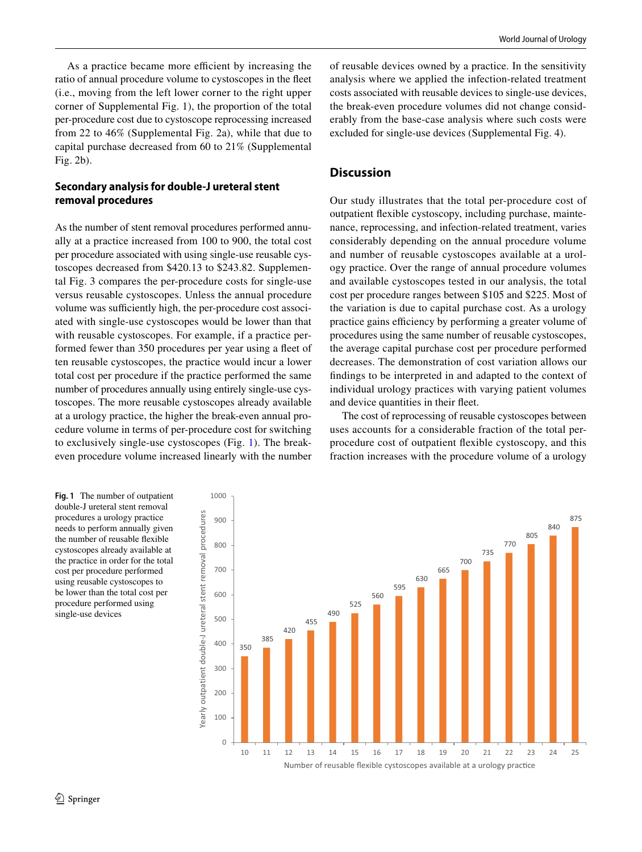As a practice became more efficient by increasing the ratio of annual procedure volume to cystoscopes in the feet (i.e., moving from the left lower corner to the right upper corner of Supplemental Fig. 1), the proportion of the total per-procedure cost due to cystoscope reprocessing increased from 22 to 46% (Supplemental Fig. 2a), while that due to capital purchase decreased from 60 to 21% (Supplemental Fig. 2b).

## **Secondary analysis for double‑J ureteral stent removal procedures**

As the number of stent removal procedures performed annually at a practice increased from 100 to 900, the total cost per procedure associated with using single-use reusable cystoscopes decreased from \$420.13 to \$243.82. Supplemental Fig. 3 compares the per-procedure costs for single-use versus reusable cystoscopes. Unless the annual procedure volume was sufficiently high, the per-procedure cost associated with single-use cystoscopes would be lower than that with reusable cystoscopes. For example, if a practice performed fewer than 350 procedures per year using a feet of ten reusable cystoscopes, the practice would incur a lower total cost per procedure if the practice performed the same number of procedures annually using entirely single-use cystoscopes. The more reusable cystoscopes already available at a urology practice, the higher the break-even annual procedure volume in terms of per-procedure cost for switching to exclusively single-use cystoscopes (Fig. [1\)](#page-3-0). The breakeven procedure volume increased linearly with the number of reusable devices owned by a practice. In the sensitivity analysis where we applied the infection-related treatment costs associated with reusable devices to single-use devices, the break-even procedure volumes did not change considerably from the base-case analysis where such costs were excluded for single-use devices (Supplemental Fig. 4).

## **Discussion**

Our study illustrates that the total per-procedure cost of outpatient fexible cystoscopy, including purchase, maintenance, reprocessing, and infection-related treatment, varies considerably depending on the annual procedure volume and number of reusable cystoscopes available at a urology practice. Over the range of annual procedure volumes and available cystoscopes tested in our analysis, the total cost per procedure ranges between \$105 and \$225. Most of the variation is due to capital purchase cost. As a urology practice gains efficiency by performing a greater volume of procedures using the same number of reusable cystoscopes, the average capital purchase cost per procedure performed decreases. The demonstration of cost variation allows our fndings to be interpreted in and adapted to the context of individual urology practices with varying patient volumes and device quantities in their feet.

The cost of reprocessing of reusable cystoscopes between uses accounts for a considerable fraction of the total perprocedure cost of outpatient fexible cystoscopy, and this fraction increases with the procedure volume of a urology

<span id="page-3-0"></span>**Fig. 1** The number of outpatient double-J ureteral stent removal procedures a urology practice needs to perform annually given the number of reusable fexible cystoscopes already available at the practice in order for the total cost per procedure performed using reusable cystoscopes to be lower than the total cost per procedure performed using single-use devices

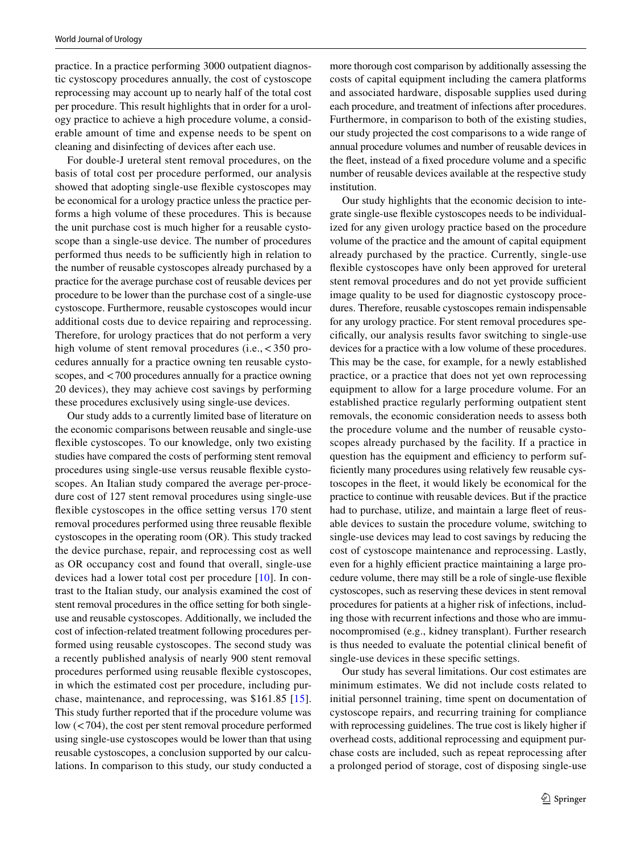practice. In a practice performing 3000 outpatient diagnostic cystoscopy procedures annually, the cost of cystoscope reprocessing may account up to nearly half of the total cost per procedure. This result highlights that in order for a urology practice to achieve a high procedure volume, a considerable amount of time and expense needs to be spent on cleaning and disinfecting of devices after each use.

For double-J ureteral stent removal procedures, on the basis of total cost per procedure performed, our analysis showed that adopting single-use fexible cystoscopes may be economical for a urology practice unless the practice performs a high volume of these procedures. This is because the unit purchase cost is much higher for a reusable cystoscope than a single-use device. The number of procedures performed thus needs to be sufficiently high in relation to the number of reusable cystoscopes already purchased by a practice for the average purchase cost of reusable devices per procedure to be lower than the purchase cost of a single-use cystoscope. Furthermore, reusable cystoscopes would incur additional costs due to device repairing and reprocessing. Therefore, for urology practices that do not perform a very high volume of stent removal procedures (i.e., <350 procedures annually for a practice owning ten reusable cystoscopes, and <700 procedures annually for a practice owning 20 devices), they may achieve cost savings by performing these procedures exclusively using single-use devices.

Our study adds to a currently limited base of literature on the economic comparisons between reusable and single-use fexible cystoscopes. To our knowledge, only two existing studies have compared the costs of performing stent removal procedures using single-use versus reusable fexible cystoscopes. An Italian study compared the average per-procedure cost of 127 stent removal procedures using single-use flexible cystoscopes in the office setting versus 170 stent removal procedures performed using three reusable fexible cystoscopes in the operating room (OR). This study tracked the device purchase, repair, and reprocessing cost as well as OR occupancy cost and found that overall, single-use devices had a lower total cost per procedure [[10](#page-5-6)]. In contrast to the Italian study, our analysis examined the cost of stent removal procedures in the office setting for both singleuse and reusable cystoscopes. Additionally, we included the cost of infection-related treatment following procedures performed using reusable cystoscopes. The second study was a recently published analysis of nearly 900 stent removal procedures performed using reusable fexible cystoscopes, in which the estimated cost per procedure, including purchase, maintenance, and reprocessing, was \$161.85 [[15](#page-5-12)]. This study further reported that if the procedure volume was low (<704), the cost per stent removal procedure performed using single-use cystoscopes would be lower than that using reusable cystoscopes, a conclusion supported by our calculations. In comparison to this study, our study conducted a more thorough cost comparison by additionally assessing the costs of capital equipment including the camera platforms and associated hardware, disposable supplies used during each procedure, and treatment of infections after procedures. Furthermore, in comparison to both of the existing studies, our study projected the cost comparisons to a wide range of annual procedure volumes and number of reusable devices in the feet, instead of a fxed procedure volume and a specifc number of reusable devices available at the respective study institution.

Our study highlights that the economic decision to integrate single-use fexible cystoscopes needs to be individualized for any given urology practice based on the procedure volume of the practice and the amount of capital equipment already purchased by the practice. Currently, single-use fexible cystoscopes have only been approved for ureteral stent removal procedures and do not yet provide sufficient image quality to be used for diagnostic cystoscopy procedures. Therefore, reusable cystoscopes remain indispensable for any urology practice. For stent removal procedures specifcally, our analysis results favor switching to single-use devices for a practice with a low volume of these procedures. This may be the case, for example, for a newly established practice, or a practice that does not yet own reprocessing equipment to allow for a large procedure volume. For an established practice regularly performing outpatient stent removals, the economic consideration needs to assess both the procedure volume and the number of reusable cystoscopes already purchased by the facility. If a practice in question has the equipment and efficiency to perform suffciently many procedures using relatively few reusable cystoscopes in the feet, it would likely be economical for the practice to continue with reusable devices. But if the practice had to purchase, utilize, and maintain a large fleet of reusable devices to sustain the procedure volume, switching to single-use devices may lead to cost savings by reducing the cost of cystoscope maintenance and reprocessing. Lastly, even for a highly efficient practice maintaining a large procedure volume, there may still be a role of single-use fexible cystoscopes, such as reserving these devices in stent removal procedures for patients at a higher risk of infections, including those with recurrent infections and those who are immunocompromised (e.g., kidney transplant). Further research is thus needed to evaluate the potential clinical beneft of single-use devices in these specifc settings.

Our study has several limitations. Our cost estimates are minimum estimates. We did not include costs related to initial personnel training, time spent on documentation of cystoscope repairs, and recurring training for compliance with reprocessing guidelines. The true cost is likely higher if overhead costs, additional reprocessing and equipment purchase costs are included, such as repeat reprocessing after a prolonged period of storage, cost of disposing single-use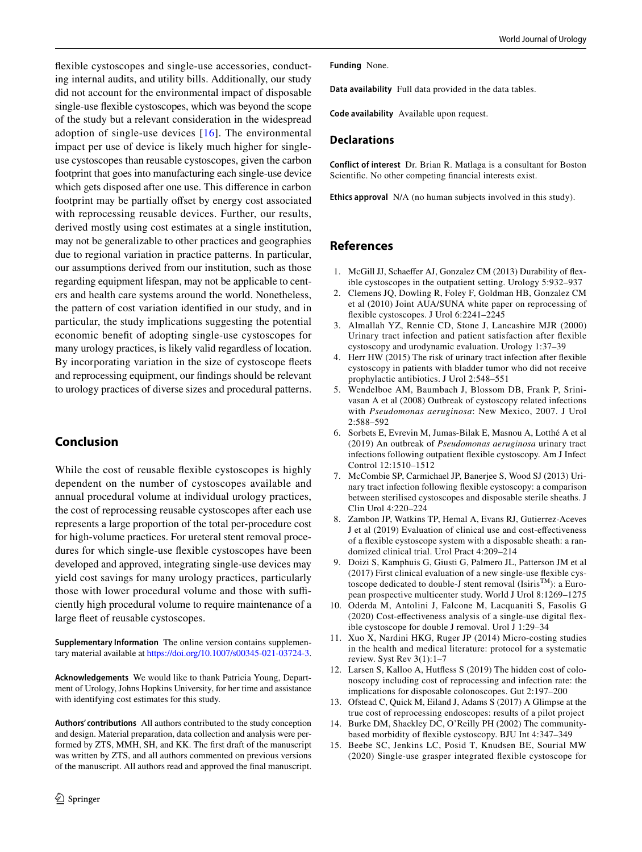fexible cystoscopes and single-use accessories, conducting internal audits, and utility bills. Additionally, our study did not account for the environmental impact of disposable single-use fexible cystoscopes, which was beyond the scope of the study but a relevant consideration in the widespread adoption of single-use devices [[16](#page-6-0)]. The environmental impact per use of device is likely much higher for singleuse cystoscopes than reusable cystoscopes, given the carbon footprint that goes into manufacturing each single-use device which gets disposed after one use. This diference in carbon footprint may be partially offset by energy cost associated with reprocessing reusable devices. Further, our results, derived mostly using cost estimates at a single institution, may not be generalizable to other practices and geographies due to regional variation in practice patterns. In particular, our assumptions derived from our institution, such as those regarding equipment lifespan, may not be applicable to centers and health care systems around the world. Nonetheless, the pattern of cost variation identifed in our study, and in particular, the study implications suggesting the potential economic beneft of adopting single-use cystoscopes for many urology practices, is likely valid regardless of location. By incorporating variation in the size of cystoscope feets and reprocessing equipment, our fndings should be relevant to urology practices of diverse sizes and procedural patterns.

# **Conclusion**

While the cost of reusable fexible cystoscopes is highly dependent on the number of cystoscopes available and annual procedural volume at individual urology practices, the cost of reprocessing reusable cystoscopes after each use represents a large proportion of the total per-procedure cost for high-volume practices. For ureteral stent removal procedures for which single-use fexible cystoscopes have been developed and approved, integrating single-use devices may yield cost savings for many urology practices, particularly those with lower procedural volume and those with sufficiently high procedural volume to require maintenance of a large feet of reusable cystoscopes.

**Supplementary Information** The online version contains supplementary material available at<https://doi.org/10.1007/s00345-021-03724-3>.

**Acknowledgements** We would like to thank Patricia Young, Department of Urology, Johns Hopkins University, for her time and assistance with identifying cost estimates for this study.

**Authors' contributions** All authors contributed to the study conception and design. Material preparation, data collection and analysis were performed by ZTS, MMH, SH, and KK. The frst draft of the manuscript was written by ZTS, and all authors commented on previous versions of the manuscript. All authors read and approved the fnal manuscript. **Funding** None.

**Data availability** Full data provided in the data tables.

**Code availability** Available upon request.

### **Declarations**

**Conflict of interest** Dr. Brian R. Matlaga is a consultant for Boston Scientifc. No other competing fnancial interests exist.

**Ethics approval** N/A (no human subjects involved in this study).

# **References**

- <span id="page-5-0"></span>1. McGill JJ, Schaefer AJ, Gonzalez CM (2013) Durability of fexible cystoscopes in the outpatient setting. Urology 5:932–937
- <span id="page-5-1"></span>2. Clemens JQ, Dowling R, Foley F, Goldman HB, Gonzalez CM et al (2010) Joint AUA/SUNA white paper on reprocessing of fexible cystoscopes. J Urol 6:2241–2245
- 3. Almallah YZ, Rennie CD, Stone J, Lancashire MJR (2000) Urinary tract infection and patient satisfaction after fexible cystoscopy and urodynamic evaluation. Urology 1:37–39
- <span id="page-5-11"></span>4. Herr HW (2015) The risk of urinary tract infection after fexible cystoscopy in patients with bladder tumor who did not receive prophylactic antibiotics. J Urol 2:548–551
- 5. Wendelboe AM, Baumbach J, Blossom DB, Frank P, Srinivasan A et al (2008) Outbreak of cystoscopy related infections with *Pseudomonas aeruginosa*: New Mexico, 2007. J Urol 2:588–592
- <span id="page-5-2"></span>6. Sorbets E, Evrevin M, Jumas-Bilak E, Masnou A, Lotthé A et al (2019) An outbreak of *Pseudomonas aeruginosa* urinary tract infections following outpatient fexible cystoscopy. Am J Infect Control 12:1510–1512
- <span id="page-5-3"></span>7. McCombie SP, Carmichael JP, Banerjee S, Wood SJ (2013) Urinary tract infection following fexible cystoscopy: a comparison between sterilised cystoscopes and disposable sterile sheaths. J Clin Urol 4:220–224
- <span id="page-5-4"></span>8. Zambon JP, Watkins TP, Hemal A, Evans RJ, Gutierrez-Aceves J et al (2019) Evaluation of clinical use and cost-efectiveness of a fexible cystoscope system with a disposable sheath: a randomized clinical trial. Urol Pract 4:209–214
- <span id="page-5-5"></span>9. Doizi S, Kamphuis G, Giusti G, Palmero JL, Patterson JM et al (2017) First clinical evaluation of a new single-use fexible cystoscope dedicated to double-J stent removal (IsirisTM): a European prospective multicenter study. World J Urol 8:1269–1275
- <span id="page-5-6"></span>10. Oderda M, Antolini J, Falcone M, Lacquaniti S, Fasolis G (2020) Cost-efectiveness analysis of a single-use digital fexible cystoscope for double J removal. Urol J 1:29–34
- <span id="page-5-7"></span>11. Xuo X, Nardini HKG, Ruger JP (2014) Micro-costing studies in the health and medical literature: protocol for a systematic review. Syst Rev 3(1):1–7
- <span id="page-5-8"></span>12. Larsen S, Kalloo A, Hutfess S (2019) The hidden cost of colonoscopy including cost of reprocessing and infection rate: the implications for disposable colonoscopes. Gut 2:197–200
- <span id="page-5-9"></span>13. Ofstead C, Quick M, Eiland J, Adams S (2017) A Glimpse at the true cost of reprocessing endoscopes: results of a pilot project
- <span id="page-5-10"></span>14. Burke DM, Shackley DC, O'Reilly PH (2002) The communitybased morbidity of fexible cystoscopy. BJU Int 4:347–349
- <span id="page-5-12"></span>15. Beebe SC, Jenkins LC, Posid T, Knudsen BE, Sourial MW (2020) Single-use grasper integrated fexible cystoscope for